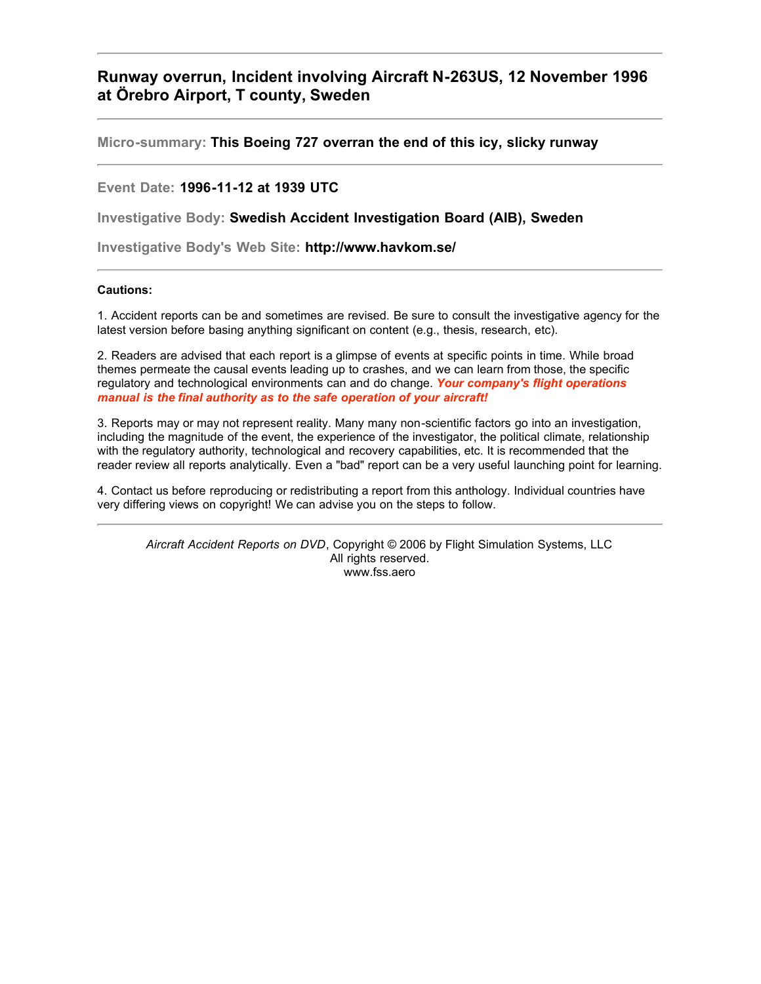**Runway overrun, Incident involving Aircraft N-263US, 12 November 1996 at Örebro Airport, T county, Sweden**

**Micro-summary: This Boeing 727 overran the end of this icy, slicky runway**

**Event Date: 1996-11-12 at 1939 UTC**

**Investigative Body: Swedish Accident Investigation Board (AIB), Sweden**

**Investigative Body's Web Site: http://www.havkom.se/**

#### **Cautions:**

1. Accident reports can be and sometimes are revised. Be sure to consult the investigative agency for the latest version before basing anything significant on content (e.g., thesis, research, etc).

2. Readers are advised that each report is a glimpse of events at specific points in time. While broad themes permeate the causal events leading up to crashes, and we can learn from those, the specific regulatory and technological environments can and do change. *Your company's flight operations manual is the final authority as to the safe operation of your aircraft!*

3. Reports may or may not represent reality. Many many non-scientific factors go into an investigation, including the magnitude of the event, the experience of the investigator, the political climate, relationship with the regulatory authority, technological and recovery capabilities, etc. It is recommended that the reader review all reports analytically. Even a "bad" report can be a very useful launching point for learning.

4. Contact us before reproducing or redistributing a report from this anthology. Individual countries have very differing views on copyright! We can advise you on the steps to follow.

*Aircraft Accident Reports on DVD*, Copyright © 2006 by Flight Simulation Systems, LLC All rights reserved. www.fss.aero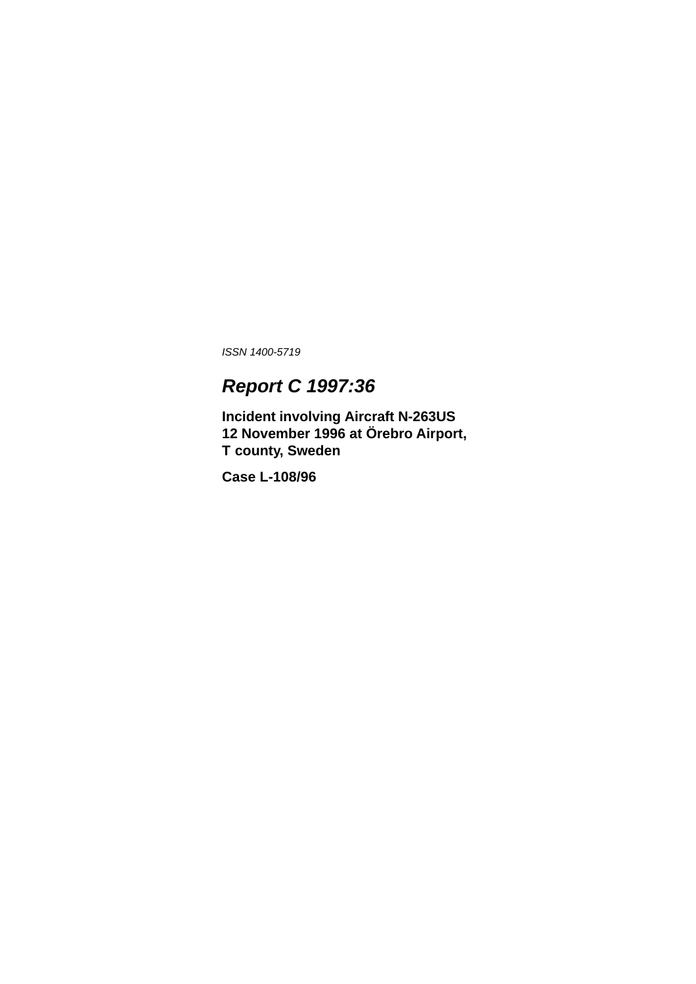*ISSN 1400-5719*

# *Report C 1997:36*

**Incident involving Aircraft N-263US 12 November 1996 at Örebro Airport, T county, Sweden**

**Case L-108/96**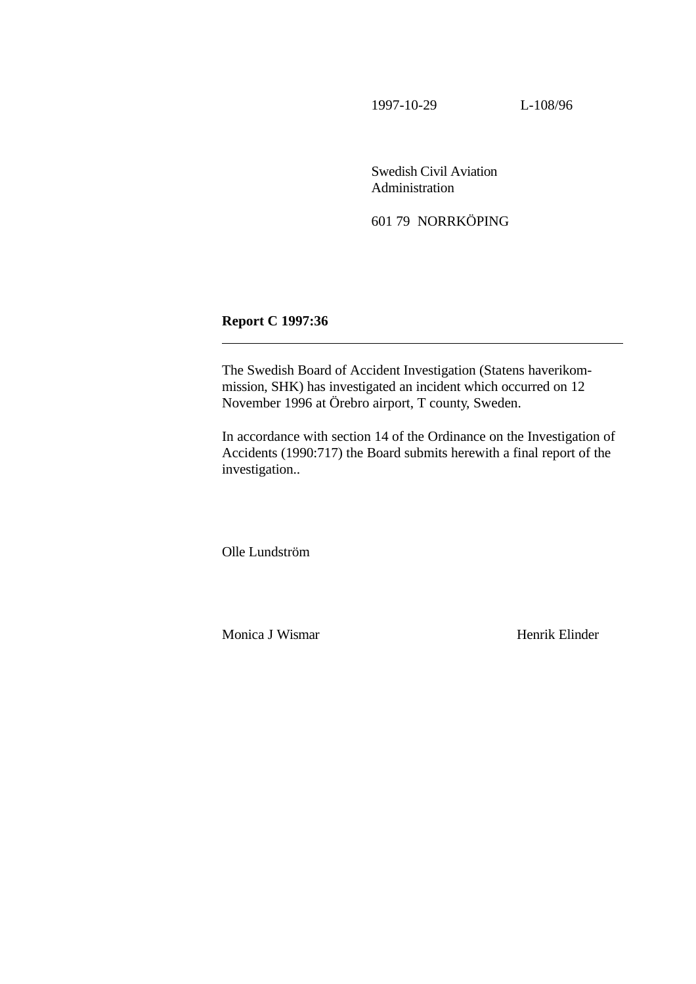1997-10-29 L-108/96

Swedish Civil Aviation Administration

601 79 NORRKÖPING

**Report C 1997:36**

 $\overline{a}$ 

The Swedish Board of Accident Investigation (Statens haverikommission, SHK) has investigated an incident which occurred on 12 November 1996 at Örebro airport, T county, Sweden.

In accordance with section 14 of the Ordinance on the Investigation of Accidents (1990:717) the Board submits herewith a final report of the investigation..

Olle Lundström

Monica J Wismar Henrik Elinder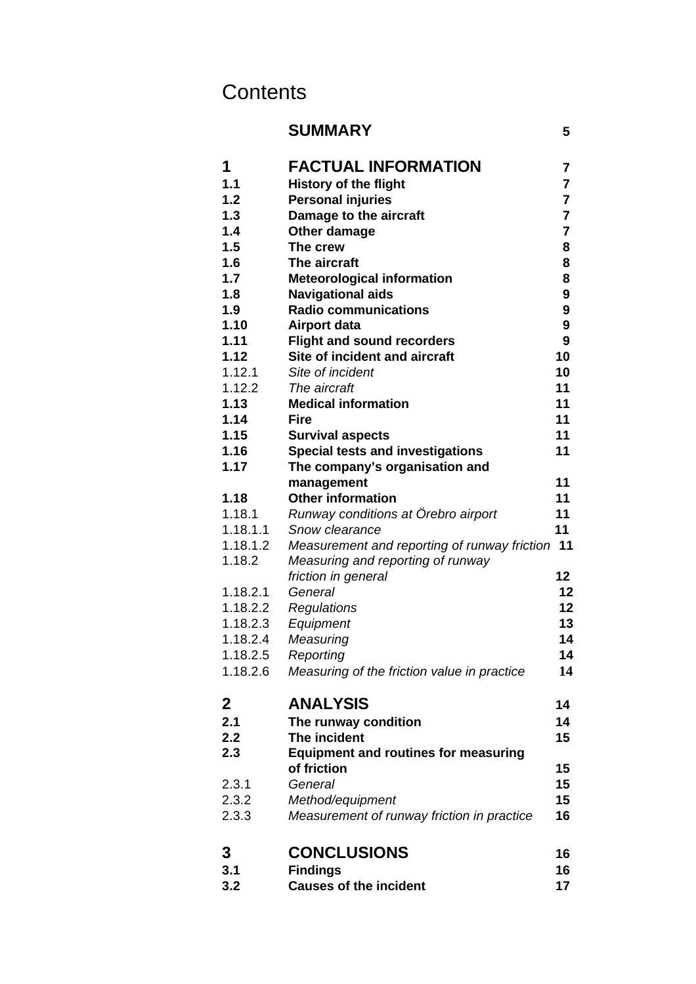# **Contents**

| <b>SUMMARY</b>                              | 5                                                                                                                                                                                                                                                                                                                                                                                                                                                                                                                                                                                                                                                                                                                   |
|---------------------------------------------|---------------------------------------------------------------------------------------------------------------------------------------------------------------------------------------------------------------------------------------------------------------------------------------------------------------------------------------------------------------------------------------------------------------------------------------------------------------------------------------------------------------------------------------------------------------------------------------------------------------------------------------------------------------------------------------------------------------------|
| <b>FACTUAL INFORMATION</b>                  | $\overline{7}$                                                                                                                                                                                                                                                                                                                                                                                                                                                                                                                                                                                                                                                                                                      |
|                                             | $\overline{7}$                                                                                                                                                                                                                                                                                                                                                                                                                                                                                                                                                                                                                                                                                                      |
|                                             | $\overline{7}$                                                                                                                                                                                                                                                                                                                                                                                                                                                                                                                                                                                                                                                                                                      |
|                                             | $\overline{7}$                                                                                                                                                                                                                                                                                                                                                                                                                                                                                                                                                                                                                                                                                                      |
|                                             | $\overline{7}$                                                                                                                                                                                                                                                                                                                                                                                                                                                                                                                                                                                                                                                                                                      |
| The crew                                    | 8                                                                                                                                                                                                                                                                                                                                                                                                                                                                                                                                                                                                                                                                                                                   |
| The aircraft                                | 8                                                                                                                                                                                                                                                                                                                                                                                                                                                                                                                                                                                                                                                                                                                   |
| <b>Meteorological information</b>           | 8                                                                                                                                                                                                                                                                                                                                                                                                                                                                                                                                                                                                                                                                                                                   |
| <b>Navigational aids</b>                    | 9                                                                                                                                                                                                                                                                                                                                                                                                                                                                                                                                                                                                                                                                                                                   |
| <b>Radio communications</b>                 | 9                                                                                                                                                                                                                                                                                                                                                                                                                                                                                                                                                                                                                                                                                                                   |
| Airport data                                | 9                                                                                                                                                                                                                                                                                                                                                                                                                                                                                                                                                                                                                                                                                                                   |
| <b>Flight and sound recorders</b>           | 9                                                                                                                                                                                                                                                                                                                                                                                                                                                                                                                                                                                                                                                                                                                   |
|                                             | 10                                                                                                                                                                                                                                                                                                                                                                                                                                                                                                                                                                                                                                                                                                                  |
|                                             | 10                                                                                                                                                                                                                                                                                                                                                                                                                                                                                                                                                                                                                                                                                                                  |
|                                             | 11                                                                                                                                                                                                                                                                                                                                                                                                                                                                                                                                                                                                                                                                                                                  |
|                                             | 11                                                                                                                                                                                                                                                                                                                                                                                                                                                                                                                                                                                                                                                                                                                  |
|                                             | 11                                                                                                                                                                                                                                                                                                                                                                                                                                                                                                                                                                                                                                                                                                                  |
|                                             | 11                                                                                                                                                                                                                                                                                                                                                                                                                                                                                                                                                                                                                                                                                                                  |
|                                             | 11                                                                                                                                                                                                                                                                                                                                                                                                                                                                                                                                                                                                                                                                                                                  |
|                                             |                                                                                                                                                                                                                                                                                                                                                                                                                                                                                                                                                                                                                                                                                                                     |
|                                             | 11                                                                                                                                                                                                                                                                                                                                                                                                                                                                                                                                                                                                                                                                                                                  |
|                                             | 11                                                                                                                                                                                                                                                                                                                                                                                                                                                                                                                                                                                                                                                                                                                  |
|                                             | 11<br>11                                                                                                                                                                                                                                                                                                                                                                                                                                                                                                                                                                                                                                                                                                            |
|                                             | 11                                                                                                                                                                                                                                                                                                                                                                                                                                                                                                                                                                                                                                                                                                                  |
|                                             |                                                                                                                                                                                                                                                                                                                                                                                                                                                                                                                                                                                                                                                                                                                     |
|                                             | 12                                                                                                                                                                                                                                                                                                                                                                                                                                                                                                                                                                                                                                                                                                                  |
|                                             | 12                                                                                                                                                                                                                                                                                                                                                                                                                                                                                                                                                                                                                                                                                                                  |
|                                             | 12                                                                                                                                                                                                                                                                                                                                                                                                                                                                                                                                                                                                                                                                                                                  |
|                                             | 13                                                                                                                                                                                                                                                                                                                                                                                                                                                                                                                                                                                                                                                                                                                  |
|                                             | 14                                                                                                                                                                                                                                                                                                                                                                                                                                                                                                                                                                                                                                                                                                                  |
|                                             | 14                                                                                                                                                                                                                                                                                                                                                                                                                                                                                                                                                                                                                                                                                                                  |
|                                             | 14                                                                                                                                                                                                                                                                                                                                                                                                                                                                                                                                                                                                                                                                                                                  |
|                                             |                                                                                                                                                                                                                                                                                                                                                                                                                                                                                                                                                                                                                                                                                                                     |
| <b>ANALYSIS</b>                             | 14                                                                                                                                                                                                                                                                                                                                                                                                                                                                                                                                                                                                                                                                                                                  |
| The runway condition                        | 14                                                                                                                                                                                                                                                                                                                                                                                                                                                                                                                                                                                                                                                                                                                  |
| The incident                                | 15                                                                                                                                                                                                                                                                                                                                                                                                                                                                                                                                                                                                                                                                                                                  |
| <b>Equipment and routines for measuring</b> |                                                                                                                                                                                                                                                                                                                                                                                                                                                                                                                                                                                                                                                                                                                     |
|                                             | 15                                                                                                                                                                                                                                                                                                                                                                                                                                                                                                                                                                                                                                                                                                                  |
| General                                     | 15                                                                                                                                                                                                                                                                                                                                                                                                                                                                                                                                                                                                                                                                                                                  |
| Method/equipment                            | 15                                                                                                                                                                                                                                                                                                                                                                                                                                                                                                                                                                                                                                                                                                                  |
| Measurement of runway friction in practice  | 16                                                                                                                                                                                                                                                                                                                                                                                                                                                                                                                                                                                                                                                                                                                  |
|                                             | 16                                                                                                                                                                                                                                                                                                                                                                                                                                                                                                                                                                                                                                                                                                                  |
|                                             | 16                                                                                                                                                                                                                                                                                                                                                                                                                                                                                                                                                                                                                                                                                                                  |
| <b>Causes of the incident</b>               | 17                                                                                                                                                                                                                                                                                                                                                                                                                                                                                                                                                                                                                                                                                                                  |
|                                             | <b>History of the flight</b><br><b>Personal injuries</b><br>Damage to the aircraft<br>Other damage<br>Site of incident and aircraft<br>Site of incident<br>The aircraft<br><b>Medical information</b><br><b>Fire</b><br><b>Survival aspects</b><br><b>Special tests and investigations</b><br>The company's organisation and<br>management<br><b>Other information</b><br>Runway conditions at Örebro airport<br>Snow clearance<br>Measurement and reporting of runway friction<br>Measuring and reporting of runway<br>friction in general<br>General<br>Regulations<br>Equipment<br>Measuring<br>Reporting<br>Measuring of the friction value in practice<br>of friction<br><b>CONCLUSIONS</b><br><b>Findings</b> |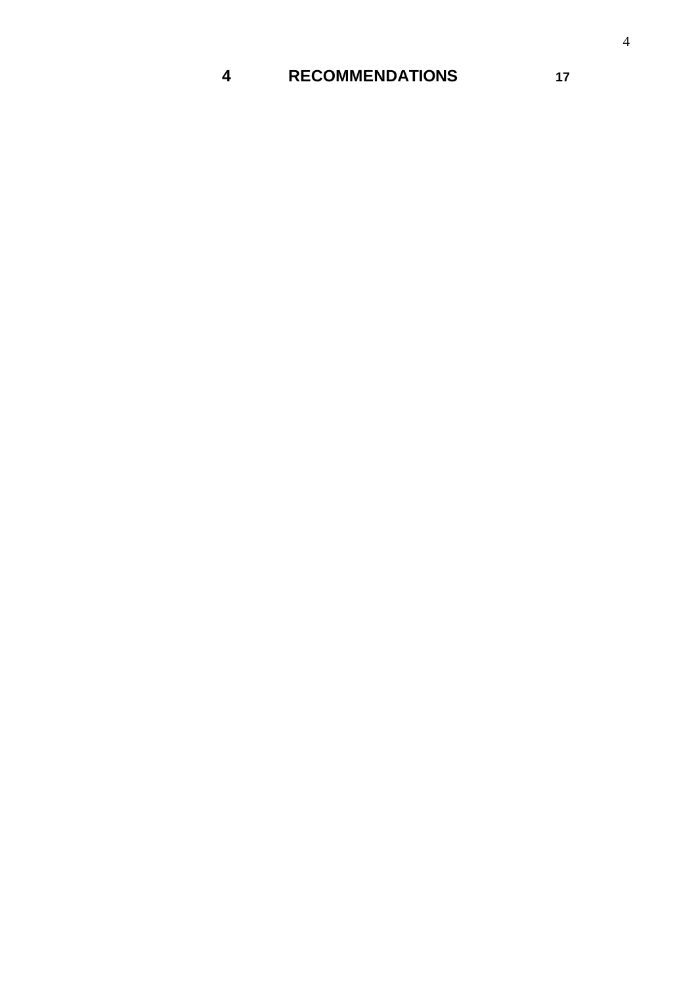## **RECOMMENDATIONS 17**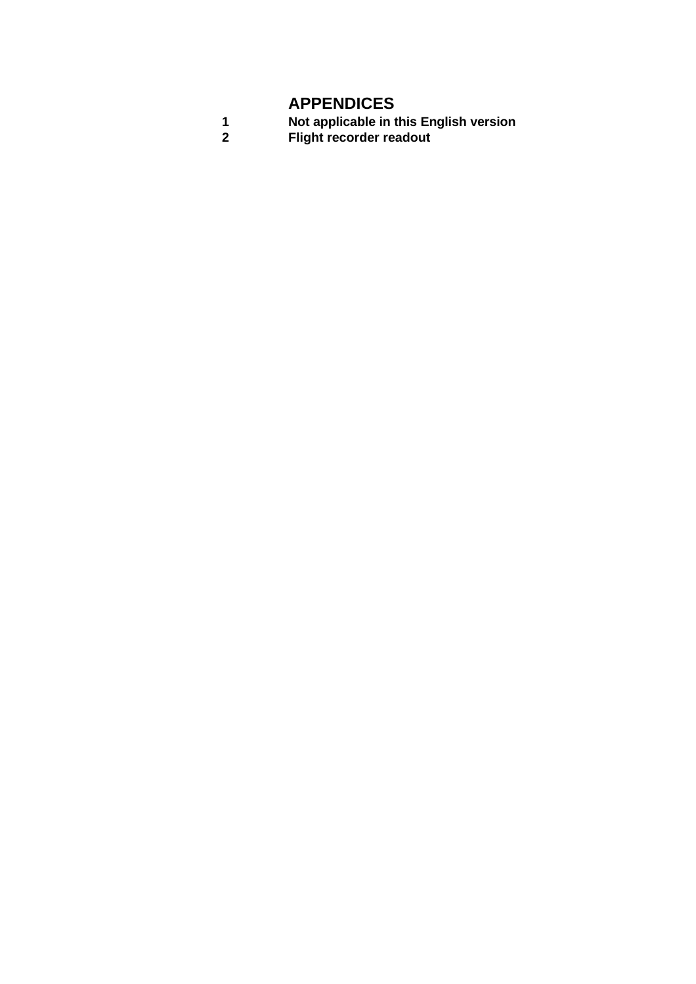## **APPENDICES**

| Not applicable in this English version |
|----------------------------------------|
| <b>Flight recorder readout</b>         |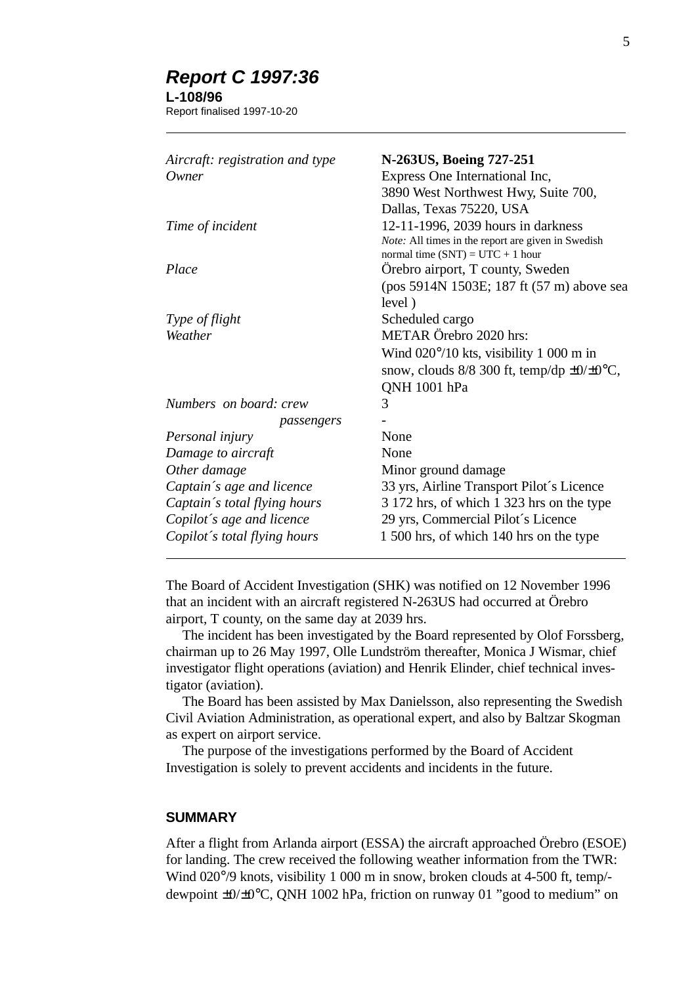## *Report C 1997:36*

## **L-108/96**

 $\overline{a}$ 

Report finalised 1997-10-20

| Aircraft: registration and type | N-263US, Boeing 727-251                              |
|---------------------------------|------------------------------------------------------|
| Owner                           | Express One International Inc,                       |
|                                 | 3890 West Northwest Hwy, Suite 700,                  |
|                                 | Dallas, Texas 75220, USA                             |
| Time of incident                | 12-11-1996, 2039 hours in darkness                   |
|                                 | Note: All times in the report are given in Swedish   |
|                                 | normal time $(SNT) = UTC + 1$ hour                   |
| Place                           | Orebro airport, T county, Sweden                     |
|                                 | (pos 5914N 1503E; 187 ft (57 m) above sea            |
|                                 | level)                                               |
| Type of flight                  | Scheduled cargo                                      |
| Weather                         | METAR Örebro 2020 hrs:                               |
|                                 | Wind $020^{\circ}/10$ kts, visibility 1 000 m in     |
|                                 | snow, clouds $8/8$ 300 ft, temp/dp $\pm 0/\pm 0$ °C, |
|                                 | QNH 1001 hPa                                         |
| Numbers on board: crew          | 3                                                    |
| passengers                      |                                                      |
| Personal injury                 | None                                                 |
| Damage to aircraft              | None                                                 |
| Other damage                    | Minor ground damage                                  |
| Captain's age and licence       | 33 yrs, Airline Transport Pilot's Licence            |
| Captain's total flying hours    | 3 172 hrs, of which 1 323 hrs on the type            |
| Copilot's age and licence       | 29 yrs, Commercial Pilot's Licence                   |
| Copilot's total flying hours    | 1 500 hrs, of which 140 hrs on the type              |
|                                 |                                                      |

The Board of Accident Investigation (SHK) was notified on 12 November 1996 that an incident with an aircraft registered N-263US had occurred at Örebro airport, T county, on the same day at 2039 hrs.

The incident has been investigated by the Board represented by Olof Forssberg, chairman up to 26 May 1997, Olle Lundström thereafter, Monica J Wismar, chief investigator flight operations (aviation) and Henrik Elinder, chief technical investigator (aviation).

The Board has been assisted by Max Danielsson, also representing the Swedish Civil Aviation Administration, as operational expert, and also by Baltzar Skogman as expert on airport service.

The purpose of the investigations performed by the Board of Accident Investigation is solely to prevent accidents and incidents in the future.

## **SUMMARY**

After a flight from Arlanda airport (ESSA) the aircraft approached Örebro (ESOE) for landing. The crew received the following weather information from the TWR: Wind 020 $\degree$ /9 knots, visibility 1 000 m in snow, broken clouds at 4-500 ft, temp/dewpoint ±0/±0°C, QNH 1002 hPa, friction on runway 01 "good to medium" on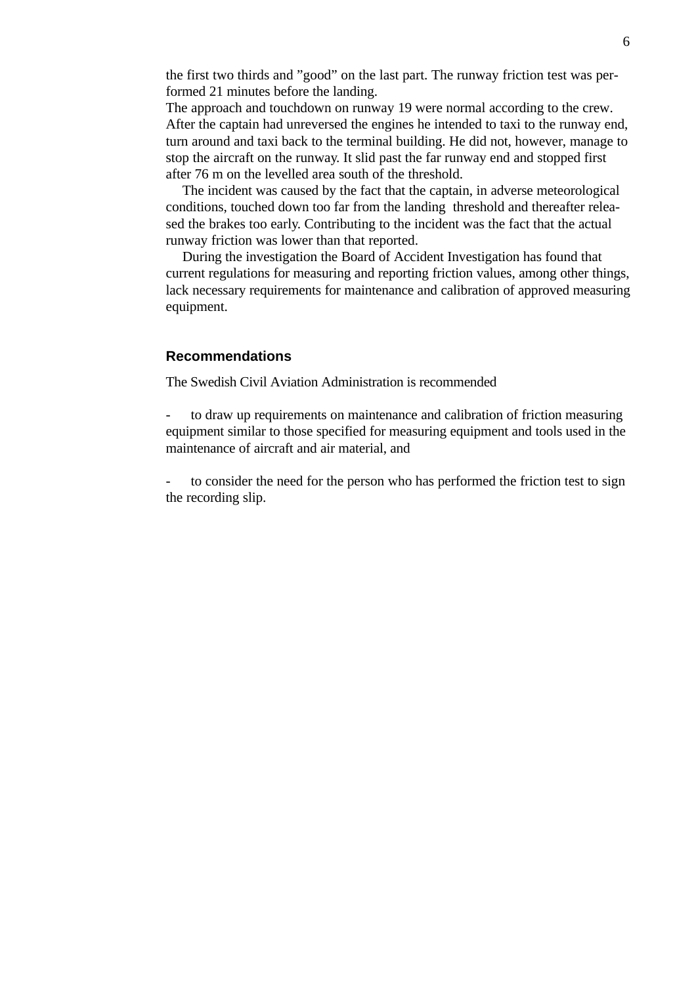the first two thirds and "good" on the last part. The runway friction test was performed 21 minutes before the landing.

The approach and touchdown on runway 19 were normal according to the crew. After the captain had unreversed the engines he intended to taxi to the runway end, turn around and taxi back to the terminal building. He did not, however, manage to stop the aircraft on the runway. It slid past the far runway end and stopped first after 76 m on the levelled area south of the threshold.

The incident was caused by the fact that the captain, in adverse meteorological conditions, touched down too far from the landing threshold and thereafter released the brakes too early. Contributing to the incident was the fact that the actual runway friction was lower than that reported.

During the investigation the Board of Accident Investigation has found that current regulations for measuring and reporting friction values, among other things, lack necessary requirements for maintenance and calibration of approved measuring equipment.

## **Recommendations**

The Swedish Civil Aviation Administration is recommended

to draw up requirements on maintenance and calibration of friction measuring equipment similar to those specified for measuring equipment and tools used in the maintenance of aircraft and air material, and

to consider the need for the person who has performed the friction test to sign the recording slip.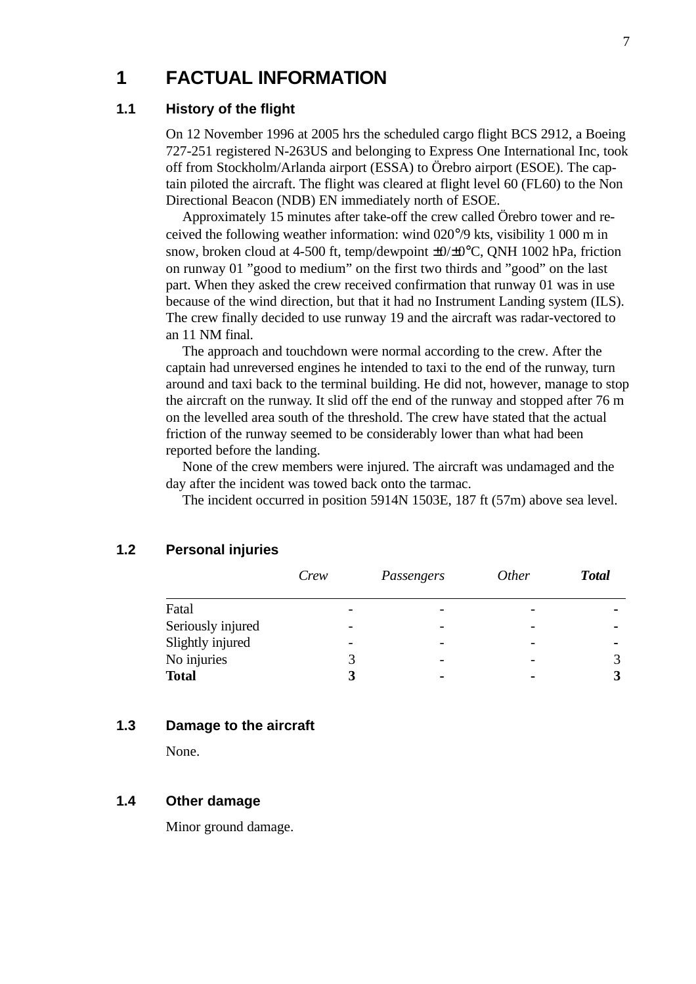## **1 FACTUAL INFORMATION**

## **1.1 History of the flight**

On 12 November 1996 at 2005 hrs the scheduled cargo flight BCS 2912, a Boeing 727-251 registered N-263US and belonging to Express One International Inc, took off from Stockholm/Arlanda airport (ESSA) to Örebro airport (ESOE). The captain piloted the aircraft. The flight was cleared at flight level 60 (FL60) to the Non Directional Beacon (NDB) EN immediately north of ESOE.

Approximately 15 minutes after take-off the crew called Örebro tower and received the following weather information: wind 020°/9 kts, visibility 1 000 m in snow, broken cloud at 4-500 ft, temp/dewpoint  $\pm 0/\pm 0^{\circ}$ C, QNH 1002 hPa, friction on runway 01 "good to medium" on the first two thirds and "good" on the last part. When they asked the crew received confirmation that runway 01 was in use because of the wind direction, but that it had no Instrument Landing system (ILS). The crew finally decided to use runway 19 and the aircraft was radar-vectored to an 11 NM final.

The approach and touchdown were normal according to the crew. After the captain had unreversed engines he intended to taxi to the end of the runway, turn around and taxi back to the terminal building. He did not, however, manage to stop the aircraft on the runway. It slid off the end of the runway and stopped after 76 m on the levelled area south of the threshold. The crew have stated that the actual friction of the runway seemed to be considerably lower than what had been reported before the landing.

None of the crew members were injured. The aircraft was undamaged and the day after the incident was towed back onto the tarmac.

The incident occurred in position 5914N 1503E, 187 ft (57m) above sea level.

|                   | Crew | Passengers | <i>Other</i> | <b>Total</b>   |
|-------------------|------|------------|--------------|----------------|
| Fatal             |      |            |              |                |
| Seriously injured |      |            |              | $\blacksquare$ |
| Slightly injured  |      |            |              | $\blacksquare$ |
| No injuries       |      | -          |              |                |
| <b>Total</b>      |      |            |              |                |

## **1.2 Personal injuries**

### **1.3 Damage to the aircraft**

None.

### **1.4 Other damage**

Minor ground damage.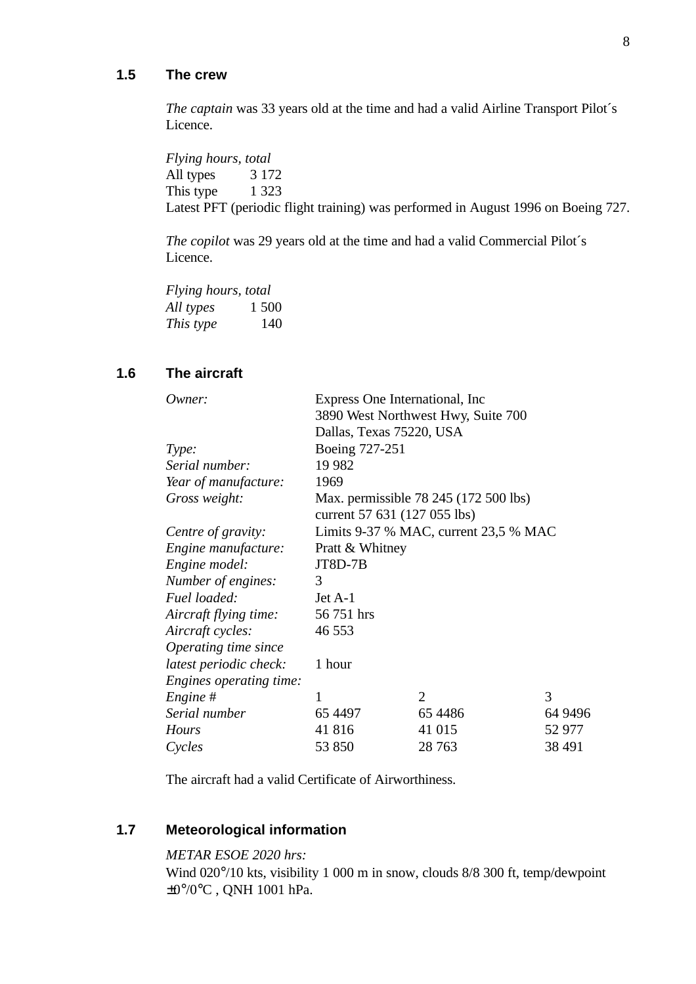## **1.5 The crew**

*The captain* was 33 years old at the time and had a valid Airline Transport Pilot´s Licence.

*Flying hours, total* All types 3 172 This type 1 323 Latest PFT (periodic flight training) was performed in August 1996 on Boeing 727.

*The copilot* was 29 years old at the time and had a valid Commercial Pilot´s Licence.

*Flying hours, total All types* 1 500 *This type* 140

## **1.6 The aircraft**

| Owner:                  | Express One International, Inc.       |                |         |  |
|-------------------------|---------------------------------------|----------------|---------|--|
|                         | 3890 West Northwest Hwy, Suite 700    |                |         |  |
|                         | Dallas, Texas 75220, USA              |                |         |  |
| Type:                   | Boeing 727-251                        |                |         |  |
| Serial number:          | 19 9 82                               |                |         |  |
| Year of manufacture:    | 1969                                  |                |         |  |
| Gross weight:           | Max. permissible 78 245 (172 500 lbs) |                |         |  |
|                         | current 57 631 (127 055 lbs)          |                |         |  |
| Centre of gravity:      | Limits 9-37 % MAC, current 23,5 % MAC |                |         |  |
| Engine manufacture:     | Pratt & Whitney                       |                |         |  |
| Engine model:           | JT8D-7B                               |                |         |  |
| Number of engines:      | 3                                     |                |         |  |
| Fuel loaded:            | Jet A-1                               |                |         |  |
| Aircraft flying time:   | 56 751 hrs                            |                |         |  |
| Aircraft cycles:        | 46 553                                |                |         |  |
| Operating time since    |                                       |                |         |  |
| latest periodic check:  | 1 hour                                |                |         |  |
| Engines operating time: |                                       |                |         |  |
| Engine#                 | 1                                     | $\overline{2}$ | 3       |  |
| Serial number           | 65 4497                               | 65 4486        | 64 9496 |  |
| <b>Hours</b>            | 41 816                                | 41 015         | 52 977  |  |
| Cycles                  | 53 850                                | 28 7 63        | 38 491  |  |

The aircraft had a valid Certificate of Airworthiness.

## **1.7 Meteorological information**

## *METAR ESOE 2020 hrs:*

Wind 020°/10 kts, visibility 1 000 m in snow, clouds 8/8 300 ft, temp/dewpoint ±0°/0°C , QNH 1001 hPa.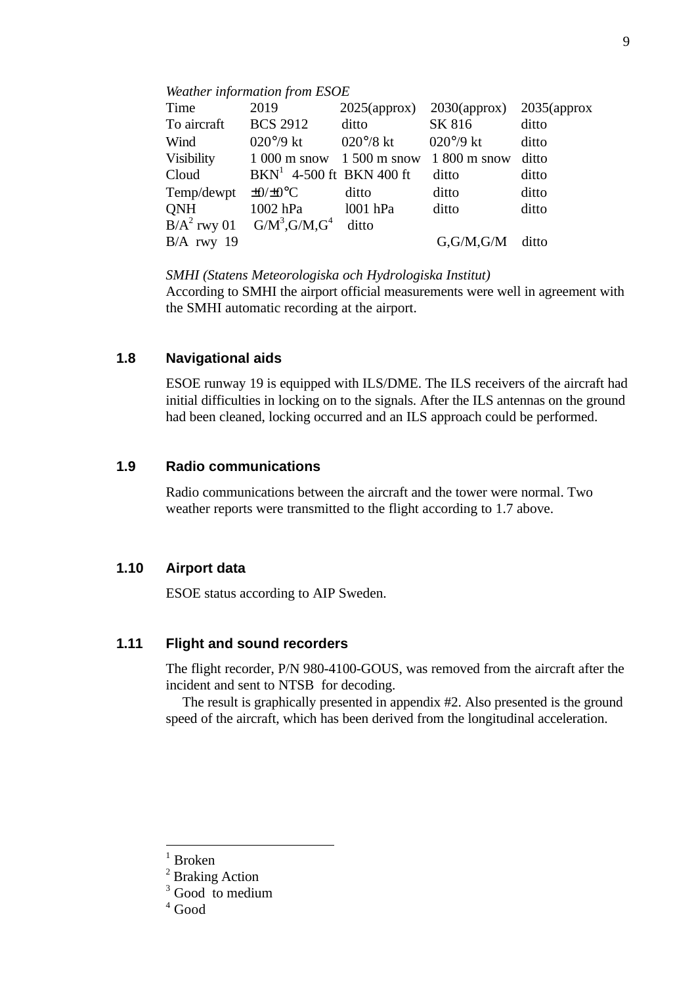#### *Weather information from ESOE*

| Time         | 2019                                        | $2025$ (approx)    | $2030$ (approx)       | $2035$ (approx |
|--------------|---------------------------------------------|--------------------|-----------------------|----------------|
| To aircraft  | <b>BCS 2912</b>                             | ditto              | SK 816                | ditto          |
| Wind         | $020^{\circ}/9$ kt                          | $020^{\circ}/8$ kt | $020^{\circ}/9$ kt    | ditto          |
| Visibility   | $1000 \text{ m}$ snow $1500 \text{ m}$ snow |                    | $1800 \text{ m}$ snow | ditto          |
| Cloud        | $BKN^1$ 4-500 ft BKN 400 ft                 |                    | ditto                 | ditto          |
| Temp/dewpt   | $\pm 0/\pm 0$ °C                            | ditto              | ditto                 | ditto          |
| <b>QNH</b>   | $1002$ hPa                                  | 1001 hPa           | ditto                 | ditto          |
|              | $B/A^2$ rwy 01 $G/M^3$ , $G/M$ , $G^4$      | ditto              |                       |                |
| $B/A$ rwy 19 |                                             |                    | G,G/M,G/M ditto       |                |

*SMHI (Statens Meteorologiska och Hydrologiska Institut)*

According to SMHI the airport official measurements were well in agreement with the SMHI automatic recording at the airport.

## **1.8 Navigational aids**

ESOE runway 19 is equipped with ILS/DME. The ILS receivers of the aircraft had initial difficulties in locking on to the signals. After the ILS antennas on the ground had been cleaned, locking occurred and an ILS approach could be performed.

## **1.9 Radio communications**

Radio communications between the aircraft and the tower were normal. Two weather reports were transmitted to the flight according to 1.7 above.

## **1.10 Airport data**

ESOE status according to AIP Sweden.

## **1.11 Flight and sound recorders**

The flight recorder, P/N 980-4100-GOUS, was removed from the aircraft after the incident and sent to NTSB for decoding.

The result is graphically presented in appendix #2. Also presented is the ground speed of the aircraft, which has been derived from the longitudinal acceleration.

 $\overline{a}$ 

 $1$  Broken

<sup>&</sup>lt;sup>2</sup> Braking Action

<sup>&</sup>lt;sup>3</sup> Good to medium

<sup>4</sup> Good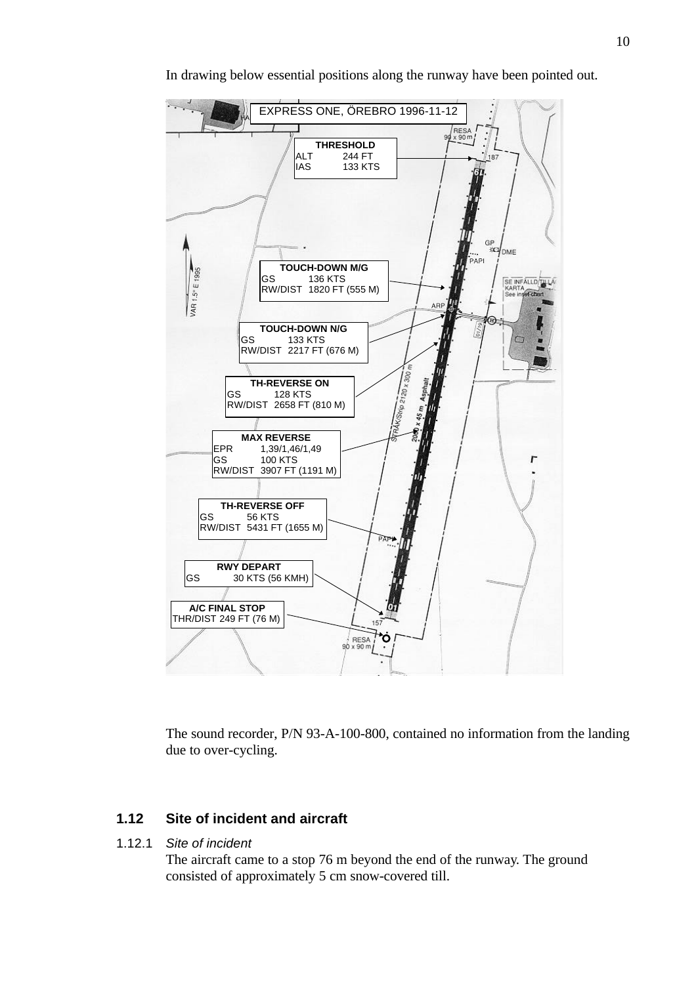

In drawing below essential positions along the runway have been pointed out.

The sound recorder, P/N 93-A-100-800, contained no information from the landing due to over-cycling.

## **1.12 Site of incident and aircraft**

1.12.1 *Site of incident*

The aircraft came to a stop 76 m beyond the end of the runway. The ground consisted of approximately 5 cm snow-covered till.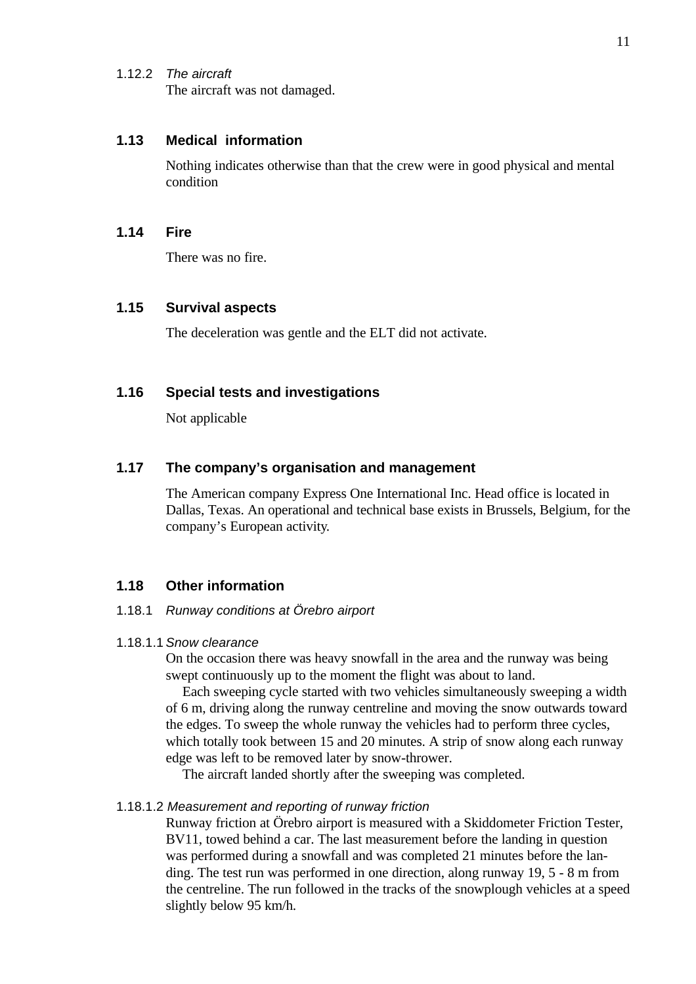1.12.2 *The aircraft* The aircraft was not damaged.

## **1.13 Medical information**

Nothing indicates otherwise than that the crew were in good physical and mental condition

## **1.14 Fire**

There was no fire.

## **1.15 Survival aspects**

The deceleration was gentle and the ELT did not activate.

## **1.16 Special tests and investigations**

Not applicable

## **1.17 The company's organisation and management**

The American company Express One International Inc. Head office is located in Dallas, Texas. An operational and technical base exists in Brussels, Belgium, for the company's European activity.

## **1.18 Other information**

#### 1.18.1 *Runway conditions at Örebro airport*

#### 1.18.1.1 *Snow clearance*

On the occasion there was heavy snowfall in the area and the runway was being swept continuously up to the moment the flight was about to land.

Each sweeping cycle started with two vehicles simultaneously sweeping a width of 6 m, driving along the runway centreline and moving the snow outwards toward the edges. To sweep the whole runway the vehicles had to perform three cycles, which totally took between 15 and 20 minutes. A strip of snow along each runway edge was left to be removed later by snow-thrower.

The aircraft landed shortly after the sweeping was completed.

#### 1.18.1.2 *Measurement and reporting of runway friction*

Runway friction at Örebro airport is measured with a Skiddometer Friction Tester, BV11, towed behind a car. The last measurement before the landing in question was performed during a snowfall and was completed 21 minutes before the landing. The test run was performed in one direction, along runway 19, 5 - 8 m from the centreline. The run followed in the tracks of the snowplough vehicles at a speed slightly below 95 km/h.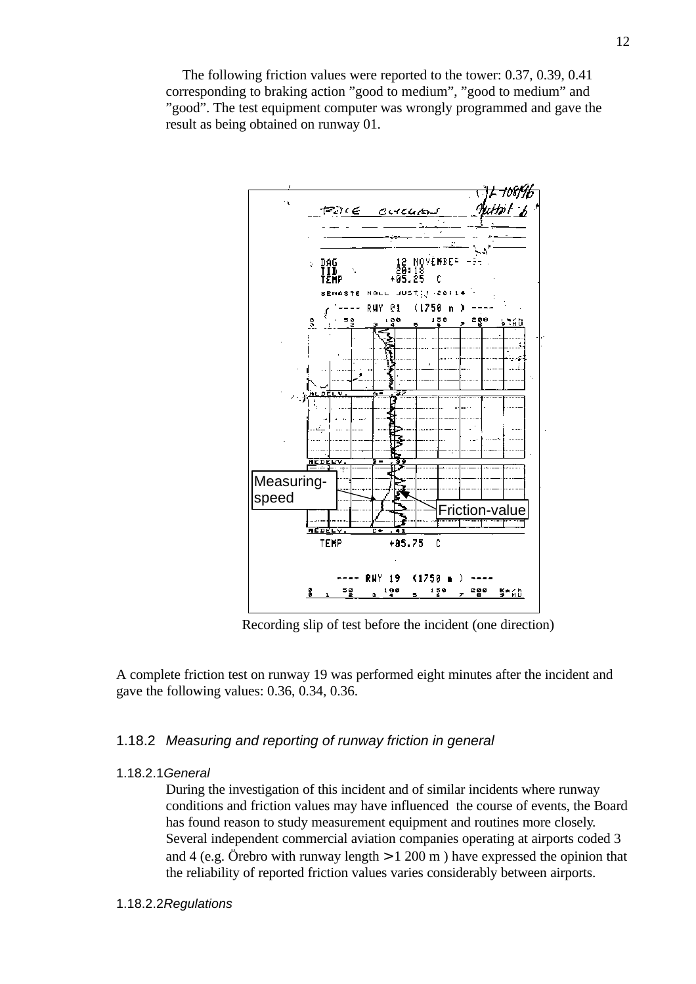The following friction values were reported to the tower: 0.37, 0.39, 0.41 corresponding to braking action "good to medium", "good to medium" and "good". The test equipment computer was wrongly programmed and gave the result as being obtained on runway 01.



Recording slip of test before the incident (one direction)

A complete friction test on runway 19 was performed eight minutes after the incident and gave the following values: 0.36, 0.34, 0.36.

## 1.18.2 *Measuring and reporting of runway friction in general*

#### 1.18.2.1*General*

During the investigation of this incident and of similar incidents where runway conditions and friction values may have influenced the course of events, the Board has found reason to study measurement equipment and routines more closely. Several independent commercial aviation companies operating at airports coded 3 and 4 (e.g. Örebro with runway length  $> 1,200 \text{ m}$ ) have expressed the opinion that the reliability of reported friction values varies considerably between airports.

#### 1.18.2.2*Regulations*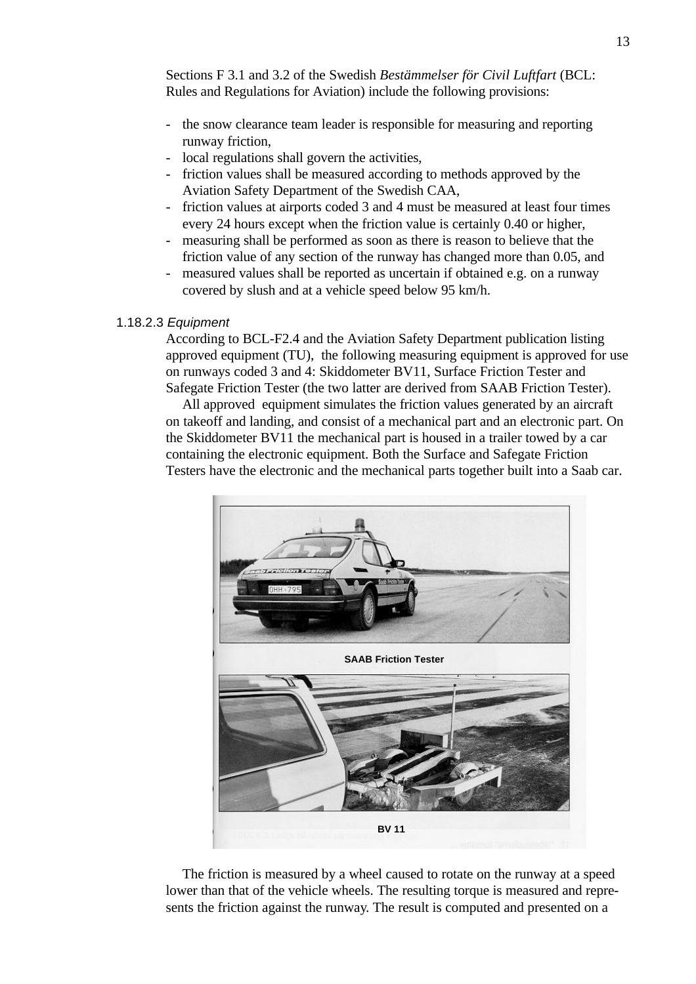Sections F 3.1 and 3.2 of the Swedish *Bestämmelser för Civil Luftfart* (BCL: Rules and Regulations for Aviation) include the following provisions:

- the snow clearance team leader is responsible for measuring and reporting runway friction,
- local regulations shall govern the activities,
- friction values shall be measured according to methods approved by the Aviation Safety Department of the Swedish CAA,
- friction values at airports coded 3 and 4 must be measured at least four times every 24 hours except when the friction value is certainly 0.40 or higher,
- measuring shall be performed as soon as there is reason to believe that the friction value of any section of the runway has changed more than 0.05, and
- measured values shall be reported as uncertain if obtained e.g. on a runway covered by slush and at a vehicle speed below 95 km/h.

#### 1.18.2.3 *Equipment*

According to BCL-F2.4 and the Aviation Safety Department publication listing approved equipment (TU), the following measuring equipment is approved for use on runways coded 3 and 4: Skiddometer BV11, Surface Friction Tester and Safegate Friction Tester (the two latter are derived from SAAB Friction Tester).

All approved equipment simulates the friction values generated by an aircraft on takeoff and landing, and consist of a mechanical part and an electronic part. On the Skiddometer BV11 the mechanical part is housed in a trailer towed by a car containing the electronic equipment. Both the Surface and Safegate Friction Testers have the electronic and the mechanical parts together built into a Saab car.



The friction is measured by a wheel caused to rotate on the runway at a speed lower than that of the vehicle wheels. The resulting torque is measured and represents the friction against the runway. The result is computed and presented on a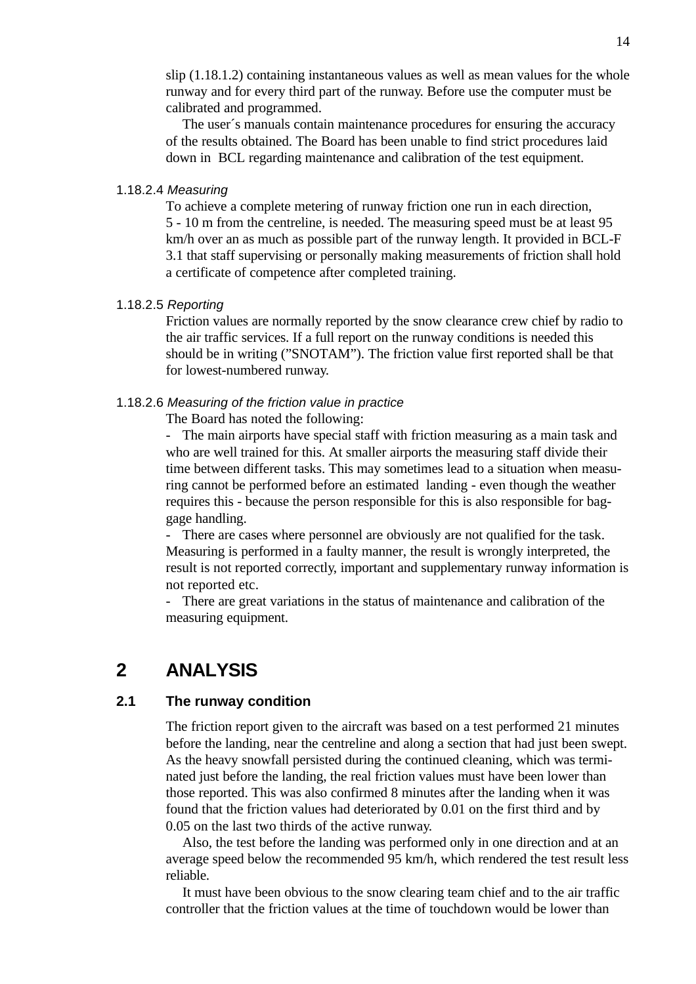slip (1.18.1.2) containing instantaneous values as well as mean values for the whole runway and for every third part of the runway. Before use the computer must be calibrated and programmed.

The user´s manuals contain maintenance procedures for ensuring the accuracy of the results obtained. The Board has been unable to find strict procedures laid down in BCL regarding maintenance and calibration of the test equipment.

### 1.18.2.4 *Measuring*

To achieve a complete metering of runway friction one run in each direction, 5 - 10 m from the centreline, is needed. The measuring speed must be at least 95 km/h over an as much as possible part of the runway length. It provided in BCL-F 3.1 that staff supervising or personally making measurements of friction shall hold a certificate of competence after completed training.

### 1.18.2.5 *Reporting*

Friction values are normally reported by the snow clearance crew chief by radio to the air traffic services. If a full report on the runway conditions is needed this should be in writing ("SNOTAM"). The friction value first reported shall be that for lowest-numbered runway.

### 1.18.2.6 *Measuring of the friction value in practice*

The Board has noted the following:

- The main airports have special staff with friction measuring as a main task and who are well trained for this. At smaller airports the measuring staff divide their time between different tasks. This may sometimes lead to a situation when measuring cannot be performed before an estimated landing - even though the weather requires this - because the person responsible for this is also responsible for baggage handling.

- There are cases where personnel are obviously are not qualified for the task. Measuring is performed in a faulty manner, the result is wrongly interpreted, the result is not reported correctly, important and supplementary runway information is not reported etc.

There are great variations in the status of maintenance and calibration of the measuring equipment.

## **2 ANALYSIS**

## **2.1 The runway condition**

The friction report given to the aircraft was based on a test performed 21 minutes before the landing, near the centreline and along a section that had just been swept. As the heavy snowfall persisted during the continued cleaning, which was terminated just before the landing, the real friction values must have been lower than those reported. This was also confirmed 8 minutes after the landing when it was found that the friction values had deteriorated by 0.01 on the first third and by 0.05 on the last two thirds of the active runway.

Also, the test before the landing was performed only in one direction and at an average speed below the recommended 95 km/h, which rendered the test result less reliable.

It must have been obvious to the snow clearing team chief and to the air traffic controller that the friction values at the time of touchdown would be lower than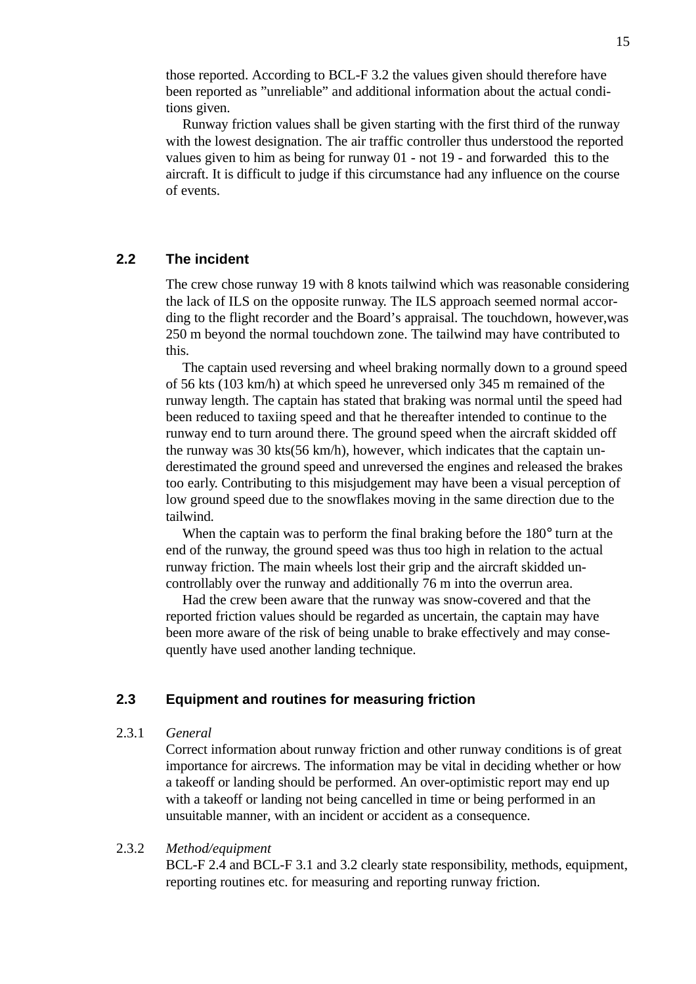those reported. According to BCL-F 3.2 the values given should therefore have been reported as "unreliable" and additional information about the actual conditions given.

Runway friction values shall be given starting with the first third of the runway with the lowest designation. The air traffic controller thus understood the reported values given to him as being for runway 01 - not 19 - and forwarded this to the aircraft. It is difficult to judge if this circumstance had any influence on the course of events.

## **2.2 The incident**

The crew chose runway 19 with 8 knots tailwind which was reasonable considering the lack of ILS on the opposite runway. The ILS approach seemed normal according to the flight recorder and the Board's appraisal. The touchdown, however,was 250 m beyond the normal touchdown zone. The tailwind may have contributed to this.

The captain used reversing and wheel braking normally down to a ground speed of 56 kts (103 km/h) at which speed he unreversed only 345 m remained of the runway length. The captain has stated that braking was normal until the speed had been reduced to taxiing speed and that he thereafter intended to continue to the runway end to turn around there. The ground speed when the aircraft skidded off the runway was 30 kts(56 km/h), however, which indicates that the captain underestimated the ground speed and unreversed the engines and released the brakes too early. Contributing to this misjudgement may have been a visual perception of low ground speed due to the snowflakes moving in the same direction due to the tailwind.

When the captain was to perform the final braking before the 180<sup>°</sup> turn at the end of the runway, the ground speed was thus too high in relation to the actual runway friction. The main wheels lost their grip and the aircraft skidded uncontrollably over the runway and additionally 76 m into the overrun area.

Had the crew been aware that the runway was snow-covered and that the reported friction values should be regarded as uncertain, the captain may have been more aware of the risk of being unable to brake effectively and may consequently have used another landing technique.

## **2.3 Equipment and routines for measuring friction**

### 2.3.1 *General*

Correct information about runway friction and other runway conditions is of great importance for aircrews. The information may be vital in deciding whether or how a takeoff or landing should be performed. An over-optimistic report may end up with a takeoff or landing not being cancelled in time or being performed in an unsuitable manner, with an incident or accident as a consequence.

### 2.3.2 *Method/equipment*

BCL-F 2.4 and BCL-F 3.1 and 3.2 clearly state responsibility, methods, equipment, reporting routines etc. for measuring and reporting runway friction.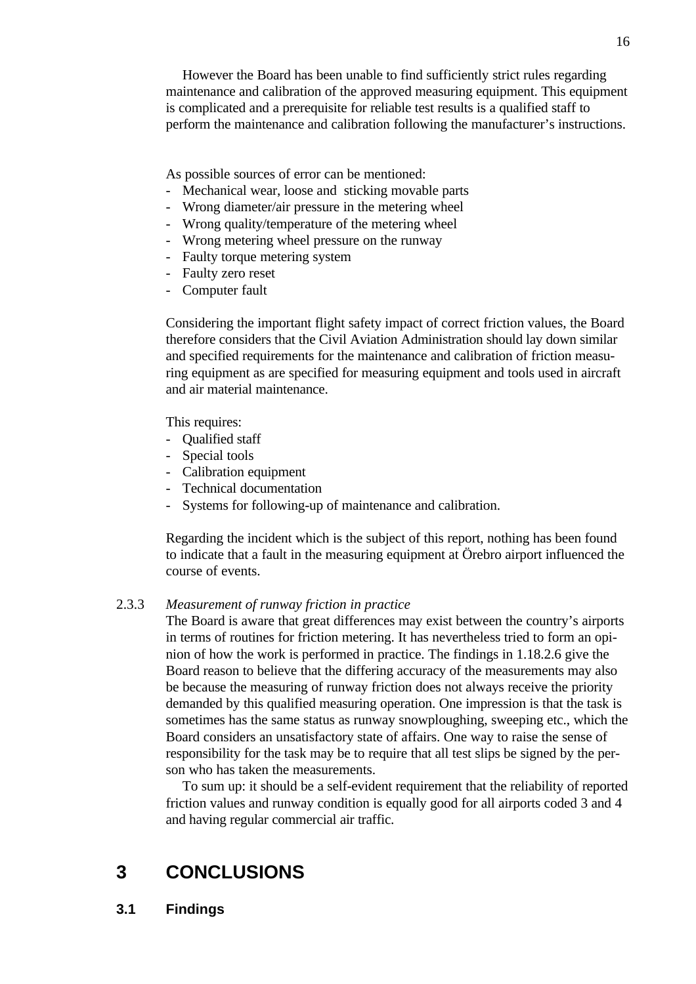However the Board has been unable to find sufficiently strict rules regarding maintenance and calibration of the approved measuring equipment. This equipment is complicated and a prerequisite for reliable test results is a qualified staff to perform the maintenance and calibration following the manufacturer's instructions.

As possible sources of error can be mentioned:

- Mechanical wear, loose and sticking movable parts
- Wrong diameter/air pressure in the metering wheel
- Wrong quality/temperature of the metering wheel
- Wrong metering wheel pressure on the runway
- Faulty torque metering system
- Faulty zero reset
- Computer fault

Considering the important flight safety impact of correct friction values, the Board therefore considers that the Civil Aviation Administration should lay down similar and specified requirements for the maintenance and calibration of friction measuring equipment as are specified for measuring equipment and tools used in aircraft and air material maintenance.

This requires:

- Qualified staff
- Special tools
- Calibration equipment
- Technical documentation
- Systems for following-up of maintenance and calibration.

Regarding the incident which is the subject of this report, nothing has been found to indicate that a fault in the measuring equipment at Örebro airport influenced the course of events.

### 2.3.3 *Measurement of runway friction in practice*

The Board is aware that great differences may exist between the country's airports in terms of routines for friction metering. It has nevertheless tried to form an opinion of how the work is performed in practice. The findings in 1.18.2.6 give the Board reason to believe that the differing accuracy of the measurements may also be because the measuring of runway friction does not always receive the priority demanded by this qualified measuring operation. One impression is that the task is sometimes has the same status as runway snowploughing, sweeping etc., which the Board considers an unsatisfactory state of affairs. One way to raise the sense of responsibility for the task may be to require that all test slips be signed by the person who has taken the measurements.

To sum up: it should be a self-evident requirement that the reliability of reported friction values and runway condition is equally good for all airports coded 3 and 4 and having regular commercial air traffic.

## **3 CONCLUSIONS**

**3.1 Findings**